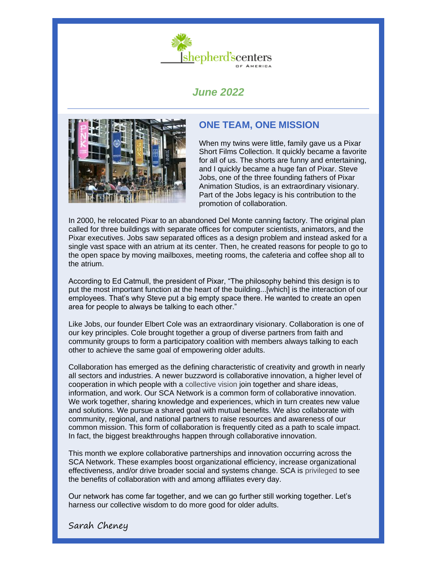

# *June 2022*



## **ONE TEAM, ONE MISSION**

When my twins were little, family gave us a Pixar Short Films Collection. It quickly became a favorite for all of us. The shorts are funny and entertaining, and I quickly became a huge fan of Pixar. Steve Jobs, one of the three founding fathers of Pixar Animation Studios, is an extraordinary visionary. Part of the Jobs legacy is his contribution to the promotion of collaboration.

In 2000, he relocated Pixar [t](http://www.newyorker.com/news/news-desk/steve-jobs-technology-alone-is-not-enough)o an abandoned Del Monte canning factory. The original plan called for three buildings with separate offices for computer scientists, animators, and the Pixar executives. Jobs saw separated offices as a design problem and instead asked for a single vast space with an atrium at its center. Then, he created reasons for people to go to the open space by moving mailboxes, meeting rooms, the cafeteria and coffee shop all to the atrium.

According to Ed Catmull, the president of Pixar, "The philosophy behind this design is to put the most important function at the heart of the building...[which] is the interaction of our employees. That's why Steve put a big empty space there. He wanted to create an open area for people to always be talking to each other."

Like Jobs, our founder Elbert Cole was an extraordinary visionary. Collaboration is one of our key principles. Cole brought together a group of diverse partners from faith and community groups to form a participatory coalition with members always talking to each other to achieve the same goal of empowering older adults.

Collaboration has emerged as the defining characteristic of creativity and growth in nearly all sectors and industries. A newer buzzword is collaborative innovation, a higher level of cooperation in which people with a collective vision join together and share ideas, information, and work. Our SCA Network is a common form of collaborative innovation. We work together, sharing knowledge and experiences, which in turn creates new value and solutions. We pursue a shared goal with mutual benefits. We also collaborate with community, regional, and national partners to raise resources and awareness of our common mission. This form of collaboration is frequently cited as a path to scale impact. In fact, the biggest breakthroughs happen through collaborative innovation.

This month we explore collaborative partnerships and innovation occurring across the SCA Network. These examples boost organizational efficiency, increase organizational effectiveness, and/or drive broader social and systems change. SCA is privileged to see the benefits of collaboration with and among affiliates every day.

Our network has come far together, and we can go further still working together. Let's harness our collective wisdom to do more good for older adults.

Sarah Cheney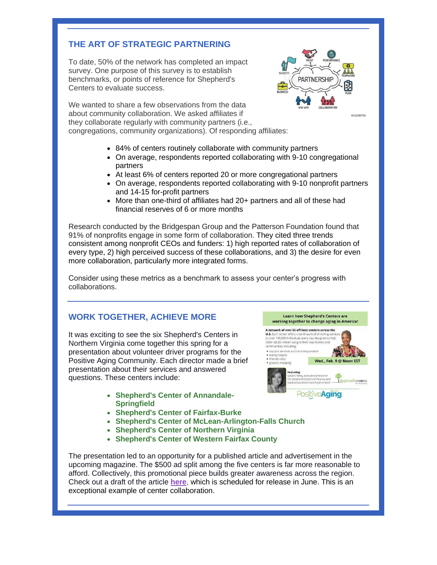## **THE ART OF STRATEGIC PARTNERING**

To date, 50% of the network has completed an impact survey. One purpose of this survey is to establish benchmarks, or points of reference for Shepherd's Centers to evaluate success.



**Learn how Shepherd's Centers are** working together to change aging in America!

**PositiveAging** 

Wed Feb 9@ Noon EST

scenters

A network of over 55 affiliate centers across the

to over 165,000 individuals every day designed to help

**U.S.** Each center

· grocery shopping

older adults remain living in the communities, including · support services such as tra handy helper: friendly visits

#112329752

We wanted to share a few observations from the data about community collaboration. We asked affiliates if they collaborate regularly with community partners (i.e., congregations, community organizations). Of responding affiliates:

- 84% of centers routinely collaborate with community partners
- On average, respondents reported collaborating with 9-10 congregational partners
- At least 6% of centers reported 20 or more congregational partners
- On average, respondents reported collaborating with 9-10 nonprofit partners and 14-15 for-profit partners
- More than one-third of affiliates had 20+ partners and all of these had financial reserves of 6 or more months

Research conducted by the Bridgespan Group and the Patterson Foundation found that 91% of nonprofits engage in some form of collaboration. They cited three trends consistent among nonprofit CEOs and funders: 1) high reported rates of collaboration of every type, 2) high perceived success of these collaborations, and 3) the desire for even more collaboration, particularly more integrated forms.

Consider using these metrics as a benchmark to assess your center's progress with collaborations.

## **WORK TOGETHER, ACHIEVE MORE**

It was exciting to see the six Shepherd's Centers in Northern Virginia come together this spring for a presentation about volunteer driver programs for the Positive Aging Community. Each director made a brief presentation about their services and answered questions. These centers include:

- **Shepherd's Center of Annandale-Springfield**
- **Shepherd's Center of Fairfax-Burke**
- **Shepherd's Center of McLean-Arlington-Falls Church**
- **Shepherd's Center of Northern Virginia**
- **Shepherd's Center of Western Fairfax County**

The presentation led to an opportunity for a published article and advertisement in the upcoming magazine. The \$500 ad split among the five centers is far more reasonable to afford. Collectively, this promotional piece builds greater awareness across the region. Check out a draft of the article **[here](https://files.constantcontact.com/588aa07e001/fee90428-3872-41c1-9e0a-3c271cbf46da.pdf)**, which is scheduled for release in June. This is an exceptional example of center collaboration.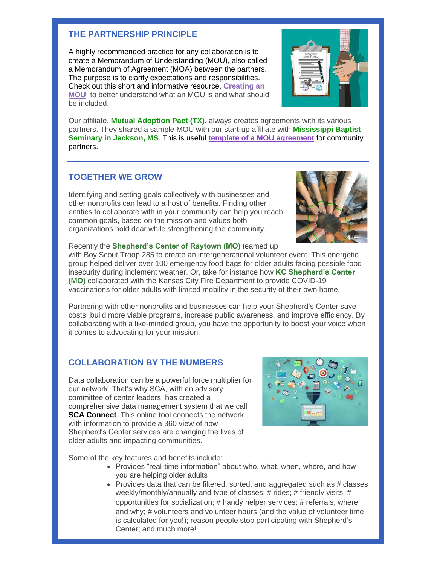#### **THE PARTNERSHIP PRINCIPLE**

A highly recommended practice for any collaboration is to create a Memorandum of Understanding (MOU), also called a Memorandum of Agreement (MOA) between the partners. The purpose is to clarify expectations and responsibilities. Check out this short and informative resource, **[Creating an](https://files.constantcontact.com/588aa07e001/43d2f15c-e994-4510-89fd-789253245aca.pdf)  [MOU](https://files.constantcontact.com/588aa07e001/43d2f15c-e994-4510-89fd-789253245aca.pdf)**, to better understand what an MOU is and what should be included.



Our affiliate, **Mutual Adoption Pact (TX)**, always creates agreements with its various partners. They shared a sample MOU with our start-up affiliate with **Mississippi Baptist Seminary in Jackson, MS**. This is useful **[template of a MOU agreement](https://files.constantcontact.com/588aa07e001/2fa8f4a4-ac41-40f8-b625-dcb1fb46bfe6.docx)** for community partners.

## **TOGETHER WE GROW**

Identifying and setting goals collectively with businesses and other nonprofits can lead to a host of benefits. Finding other entities to collaborate with in your community can help you reach common goals, based on the mission and values both organizations hold dear while strengthening the community.



Recently the **Shepherd's Center of Raytown (MO)** teamed up

with Boy Scout Troop 285 to create an intergenerational volunteer event. This energetic group helped deliver over 100 emergency food bags for older adults facing possible food insecurity during inclement weather. Or, take for instance how **KC Shepherd's Center (MO)** collaborated with the Kansas City Fire Department to provide COVID-19 vaccinations for older adults with limited mobility in the security of their own home.

Partnering with other nonprofits and businesses can help your Shepherd's Center save costs, build more viable programs, increase public awareness, and improve efficiency. By collaborating with a like-minded group, you have the opportunity to boost your voice when it comes to advocating for your mission.

#### **COLLABORATION BY THE NUMBERS**

Data collaboration can be a powerful force multiplier for our network. That's why SCA, with an advisory committee of center leaders, has created a comprehensive data management system that we call **SCA Connect.** This online tool connects the network with information to provide a 360 view of how Shepherd's Center services are changing the lives of older adults and impacting communities.



Some of the key features and benefits include:

- Provides "real-time information" about who, what, when, where, and how you are helping older adults
- Provides data that can be filtered, sorted, and aggregated such as # classes weekly/monthly/annually and type of classes; # rides; # friendly visits; # opportunities for socialization; # handy helper services; # referrals, where and why; # volunteers and volunteer hours (and the value of volunteer time is calculated for you!); reason people stop participating with Shepherd's Center; and much more!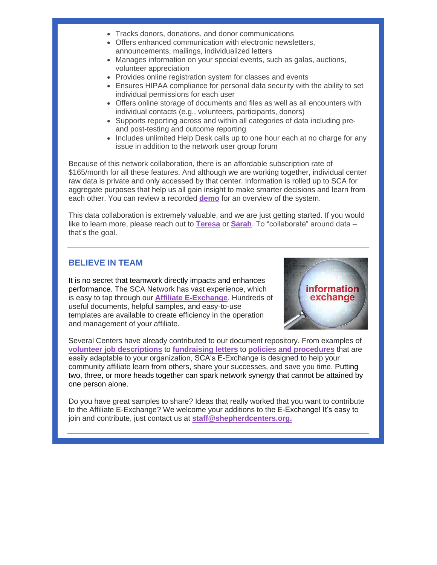- Tracks donors, donations, and donor communications
- Offers enhanced communication with electronic newsletters, announcements, mailings, individualized letters
- Manages information on your special events, such as galas, auctions, volunteer appreciation
- Provides online registration system for classes and events
- Ensures HIPAA compliance for personal data security with the ability to set individual permissions for each user
- Offers online storage of documents and files as well as all encounters with individual contacts (e.g., volunteers, participants, donors)
- Supports reporting across and within all categories of data including preand post-testing and outcome reporting
- Includes unlimited Help Desk calls up to one hour each at no charge for any issue in addition to the network user group forum

Because of this network collaboration, there is an affordable subscription rate of \$165/month for all these features. And although we are working together, individual center raw data is private and only accessed by that center. Information is rolled up to SCA for aggregate purposes that help us all gain insight to make smarter decisions and learn from each other. You can review a recorded **[demo](https://www.shepherdcenters.org/exchange/sca-connect-introductory-demo/)** for an overview of the system.

This data collaboration is extremely valuable, and we are just getting started. If you would like to learn more, please reach out to **[Teresa](mailto:teresa@shepherdcenters.org)** or **[Sarah](mailto:sarah@shepherdcenters.org)**. To "collaborate" around data – that's the goal.

#### **BELIEVE IN TEAM**

It is no secret that teamwork directly impacts and enhances performance. The SCA Network has vast experience, which is easy to tap through our **[Affiliate E-Exchange](https://www.shepherdcenters.org/affiliate-e-exchange/)**. Hundreds of useful documents, helpful samples, and easy-to-use templates are available to create efficiency in the operation and management of your affiliate.



Several Centers have already contributed to our document repository. From examples of **[volunteer job descriptions](https://files.constantcontact.com/588aa07e001/0d2ddc64-aac3-4d82-be29-b1d131eaed56.docx)** to **[fundraising letters](https://files.constantcontact.com/588aa07e001/d5d390f7-b8af-45c9-bd21-a32db91ca5e3.pdf)** to **[policies and procedures](https://files.constantcontact.com/588aa07e001/4fda8d10-6a54-444f-b31d-55572b2a51bb.docx)** that are easily adaptable to your organization, SCA's E-Exchange is designed to help your community affiliate learn from others, share your successes, and save you time. Putting two, three, or more heads together can spark network synergy that cannot be attained by one person alone.

Do you have great samples to share? Ideas that really worked that you want to contribute to the Affiliate E-Exchange? We welcome your additions to the E-Exchange! It's easy to join and contribute, just contact us at **[staff@shepherdcenters.org.](mailto:staff@shepherdcenters.org)**